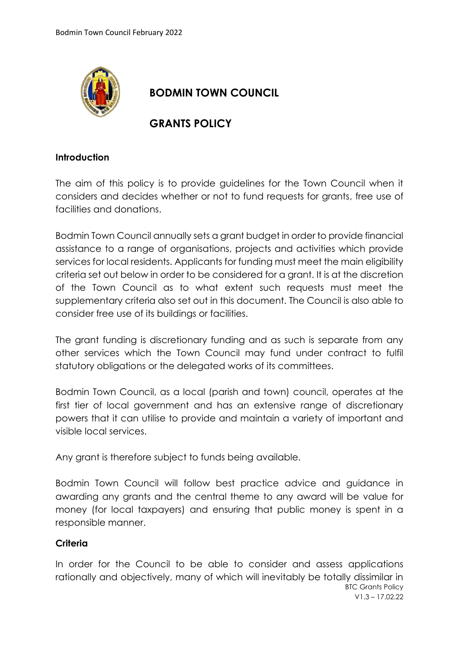

# **BODMIN TOWN COUNCIL**

## **GRANTS POLICY**

#### **Introduction**

The aim of this policy is to provide guidelines for the Town Council when it considers and decides whether or not to fund requests for grants, free use of facilities and donations.

Bodmin Town Council annually sets a grant budget in order to provide financial assistance to a range of organisations, projects and activities which provide services for local residents. Applicants for funding must meet the main eligibility criteria set out below in order to be considered for a grant. It is at the discretion of the Town Council as to what extent such requests must meet the supplementary criteria also set out in this document. The Council is also able to consider free use of its buildings or facilities.

The grant funding is discretionary funding and as such is separate from any other services which the Town Council may fund under contract to fulfil statutory obligations or the delegated works of its committees.

Bodmin Town Council, as a local (parish and town) council, operates at the first tier of local government and has an extensive range of discretionary powers that it can utilise to provide and maintain a variety of important and visible local services.

Any grant is therefore subject to funds being available.

Bodmin Town Council will follow best practice advice and guidance in awarding any grants and the central theme to any award will be value for money (for local taxpayers) and ensuring that public money is spent in a responsible manner.

### **Criteria**

BTC Grants Policy V1.3 – 17.02.22 In order for the Council to be able to consider and assess applications rationally and objectively, many of which will inevitably be totally dissimilar in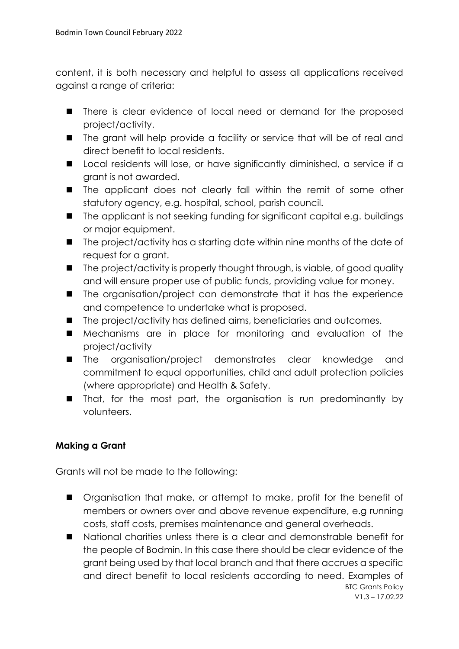content, it is both necessary and helpful to assess all applications received against a range of criteria:

- There is clear evidence of local need or demand for the proposed project/activity.
- The grant will help provide a facility or service that will be of real and direct benefit to local residents.
- Local residents will lose, or have significantly diminished, a service if a grant is not awarded.
- The applicant does not clearly fall within the remit of some other statutory agency, e.g. hospital, school, parish council.
- The applicant is not seeking funding for significant capital e.g. buildings or major equipment.
- The project/activity has a starting date within nine months of the date of request for a grant.
- The project/activity is properly thought through, is viable, of good quality and will ensure proper use of public funds, providing value for money.
- The organisation/project can demonstrate that it has the experience and competence to undertake what is proposed.
- The project/activity has defined aims, beneficiaries and outcomes.
- Mechanisms are in place for monitoring and evaluation of the project/activity
- The organisation/project demonstrates clear knowledge and commitment to equal opportunities, child and adult protection policies (where appropriate) and Health & Safety.
- That, for the most part, the organisation is run predominantly by volunteers.

## **Making a Grant**

Grants will not be made to the following:

- Organisation that make, or attempt to make, profit for the benefit of members or owners over and above revenue expenditure, e.g running costs, staff costs, premises maintenance and general overheads.
- BTC Grants Policy ■ National charities unless there is a clear and demonstrable benefit for the people of Bodmin. In this case there should be clear evidence of the grant being used by that local branch and that there accrues a specific and direct benefit to local residents according to need. Examples of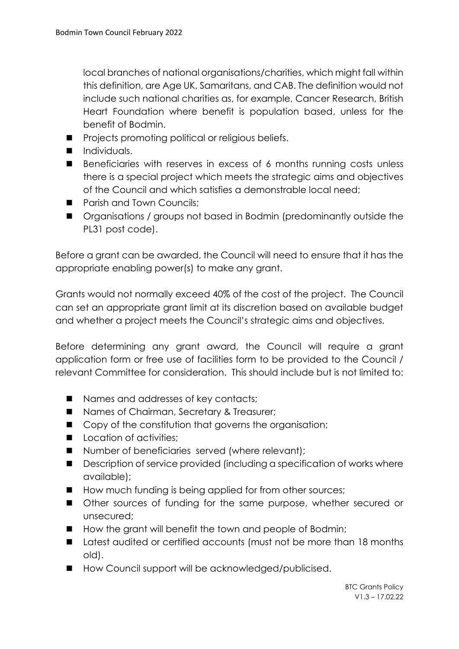local branches of national organisations/charities, which might fall within this definition, are Age UK, Samaritans, and CAB. The definition would not include such national charities as, for example, Cancer Research, British Heart Foundation where benefit is population based, unless for the benefit of Bodmin.

- Projects promoting political or religious beliefs.
- Individuals.
- Beneficiaries with reserves in excess of 6 months running costs unless there is a special project which meets the strategic aims and objectives of the Council and which satisfies a demonstrable local need;
- Parish and Town Councils;
- Organisations / groups not based in Bodmin (predominantly outside the PL31 post code).

Before a grant can be awarded, the Council will need to ensure that it has the appropriate enabling power(s) to make any grant.

Grants would not normally exceed 40% of the cost of the project. The Council can set an appropriate grant limit at its discretion based on available budget and whether a project meets the Council's strategic aims and objectives.

Before determining any grant award, the Council will require a grant application form or free use of facilities form to be provided to the Council / relevant Committee for consideration. This should include but is not limited to:

- Names and addresses of key contacts;
- Names of Chairman, Secretary & Treasurer;
- Copy of the constitution that governs the organisation;
- Location of activities:
- Number of beneficiaries served (where relevant);
- Description of service provided (including a specification of works where available);
- How much funding is being applied for from other sources;
- Other sources of funding for the same purpose, whether secured or unsecured;
- How the grant will benefit the town and people of Bodmin;
- Latest audited or certified accounts (must not be more than 18 months old).
- How Council support will be acknowledged/publicised.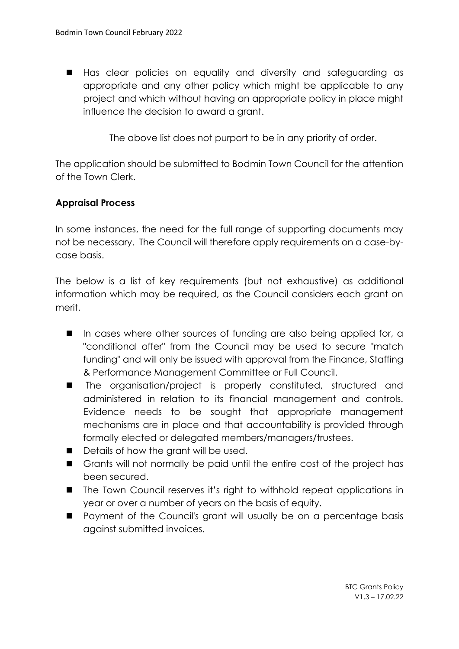■ Has clear policies on equality and diversity and safeguarding as appropriate and any other policy which might be applicable to any project and which without having an appropriate policy in place might influence the decision to award a grant.

The above list does not purport to be in any priority of order.

The application should be submitted to Bodmin Town Council for the attention of the Town Clerk.

### **Appraisal Process**

In some instances, the need for the full range of supporting documents may not be necessary. The Council will therefore apply requirements on a case-bycase basis.

The below is a list of key requirements (but not exhaustive) as additional information which may be required, as the Council considers each grant on merit.

- In cases where other sources of funding are also being applied for, a "conditional offer" from the Council may be used to secure "match funding" and will only be issued with approval from the Finance, Staffing & Performance Management Committee or Full Council.
- The organisation/project is properly constituted, structured and administered in relation to its financial management and controls. Evidence needs to be sought that appropriate management mechanisms are in place and that accountability is provided through formally elected or delegated members/managers/trustees.
- Details of how the grant will be used.
- Grants will not normally be paid until the entire cost of the project has been secured.
- The Town Council reserves it's right to withhold repeat applications in year or over a number of years on the basis of equity.
- Payment of the Council's grant will usually be on a percentage basis against submitted invoices.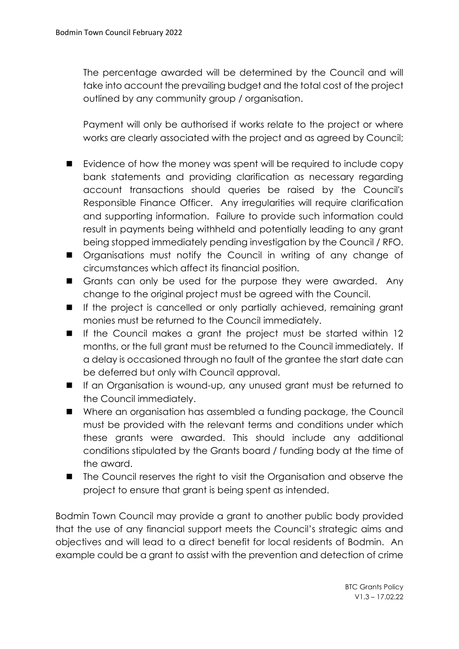The percentage awarded will be determined by the Council and will take into account the prevailing budget and the total cost of the project outlined by any community group / organisation.

Payment will only be authorised if works relate to the project or where works are clearly associated with the project and as agreed by Council;

- Evidence of how the money was spent will be required to include copy bank statements and providing clarification as necessary regarding account transactions should queries be raised by the Council's Responsible Finance Officer. Any irregularities will require clarification and supporting information. Failure to provide such information could result in payments being withheld and potentially leading to any grant being stopped immediately pending investigation by the Council / RFO.
- Organisations must notify the Council in writing of any change of circumstances which affect its financial position.
- Grants can only be used for the purpose they were awarded. Any change to the original project must be agreed with the Council.
- If the project is cancelled or only partially achieved, remaining grant monies must be returned to the Council immediately.
- If the Council makes a grant the project must be started within 12 months, or the full grant must be returned to the Council immediately. If a delay is occasioned through no fault of the grantee the start date can be deferred but only with Council approval.
- If an Organisation is wound-up, any unused grant must be returned to the Council immediately.
- Where an organisation has assembled a funding package, the Council must be provided with the relevant terms and conditions under which these grants were awarded. This should include any additional conditions stipulated by the Grants board / funding body at the time of the award.
- The Council reserves the right to visit the Organisation and observe the project to ensure that grant is being spent as intended.

Bodmin Town Council may provide a grant to another public body provided that the use of any financial support meets the Council's strategic aims and objectives and will lead to a direct benefit for local residents of Bodmin. An example could be a grant to assist with the prevention and detection of crime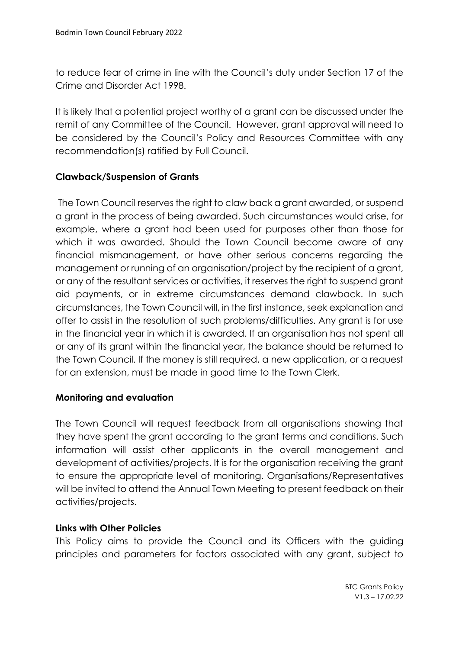to reduce fear of crime in line with the Council's duty under Section 17 of the Crime and Disorder Act 1998.

It is likely that a potential project worthy of a grant can be discussed under the remit of any Committee of the Council. However, grant approval will need to be considered by the Council's Policy and Resources Committee with any recommendation(s) ratified by Full Council.

## **Clawback/Suspension of Grants**

The Town Council reserves the right to claw back a grant awarded, or suspend a grant in the process of being awarded. Such circumstances would arise, for example, where a grant had been used for purposes other than those for which it was awarded. Should the Town Council become aware of any financial mismanagement, or have other serious concerns regarding the management or running of an organisation/project by the recipient of a grant, or any of the resultant services or activities, it reserves the right to suspend grant aid payments, or in extreme circumstances demand clawback. In such circumstances, the Town Council will, in the first instance, seek explanation and offer to assist in the resolution of such problems/difficulties. Any grant is for use in the financial year in which it is awarded. If an organisation has not spent all or any of its grant within the financial year, the balance should be returned to the Town Council. If the money is still required, a new application, or a request for an extension, must be made in good time to the Town Clerk.

### **Monitoring and evaluation**

The Town Council will request feedback from all organisations showing that they have spent the grant according to the grant terms and conditions. Such information will assist other applicants in the overall management and development of activities/projects. It is for the organisation receiving the grant to ensure the appropriate level of monitoring. Organisations/Representatives will be invited to attend the Annual Town Meeting to present feedback on their activities/projects.

### **Links with Other Policies**

This Policy aims to provide the Council and its Officers with the guiding principles and parameters for factors associated with any grant, subject to